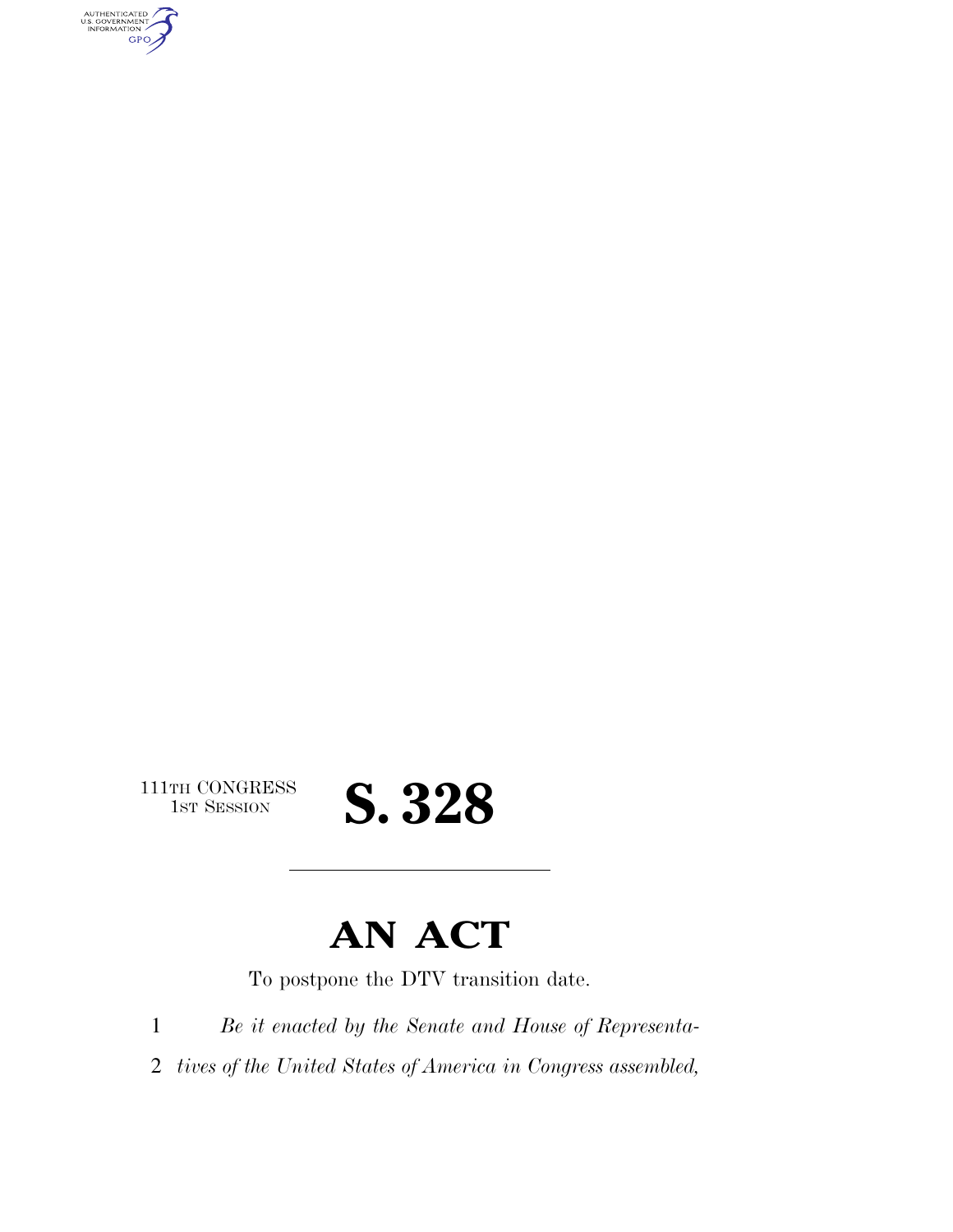AUTHENTICATED<br>U.S. GOVERNMENT<br>INFORMATION GPO

 $\begin{array}{c} \textbf{111TH CONGRESS} \\ \textbf{1ST SESION} \end{array}$ 

## S. 328

### **AN ACT**

To postpone the DTV transition date.

1 *Be it enacted by the Senate and House of Representa-*

2 *tives of the United States of America in Congress assembled,*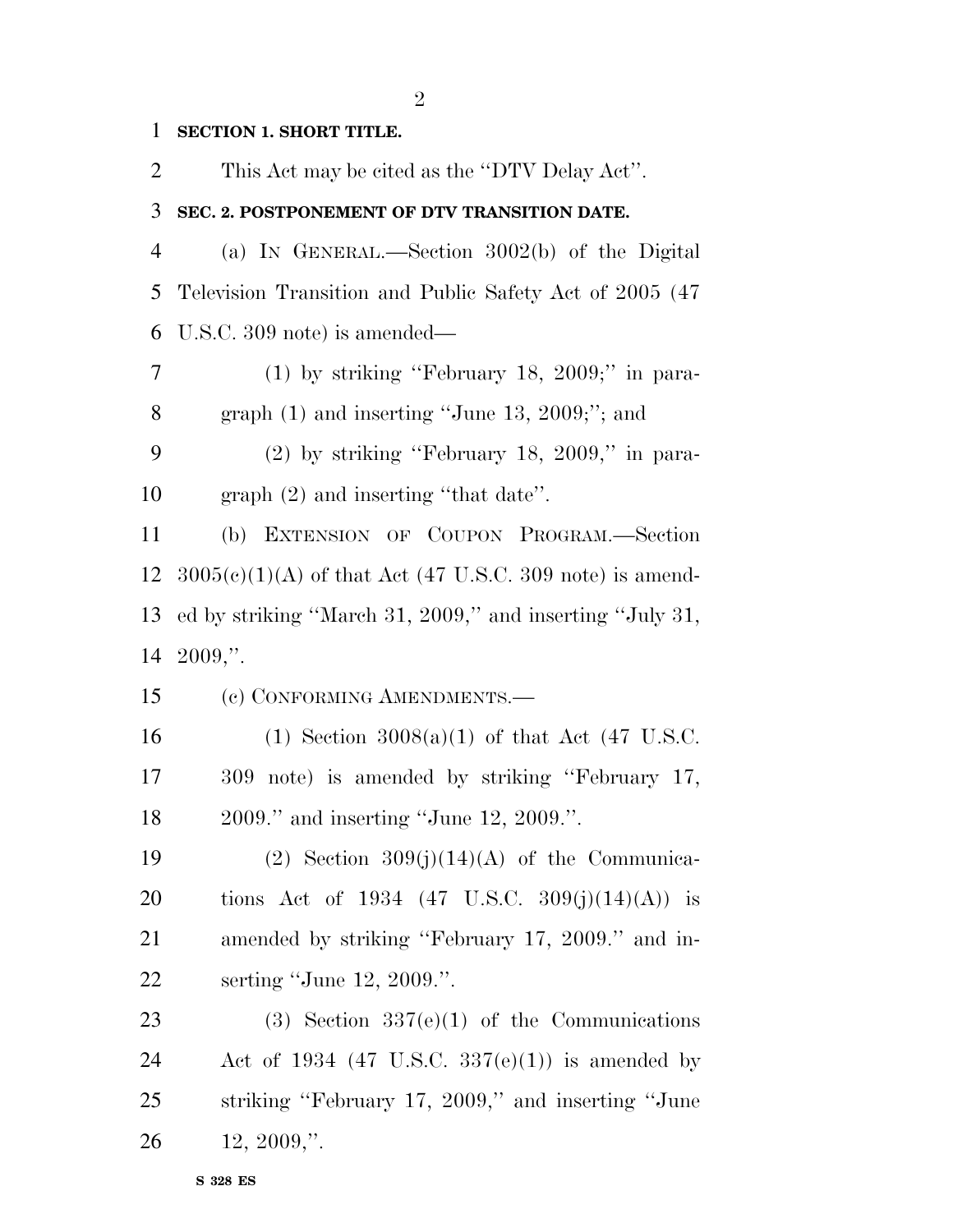**SECTION 1. SHORT TITLE.** 

This Act may be cited as the ''DTV Delay Act''.

#### **SEC. 2. POSTPONEMENT OF DTV TRANSITION DATE.**

 (a) IN GENERAL.—Section 3002(b) of the Digital Television Transition and Public Safety Act of 2005 (47 U.S.C. 309 note) is amended—

 (1) by striking ''February 18, 2009;'' in para-graph (1) and inserting ''June 13, 2009;''; and

 (2) by striking ''February 18, 2009,'' in para-graph (2) and inserting ''that date''.

 (b) EXTENSION OF COUPON PROGRAM.—Section  $3005(c)(1)(A)$  of that Act (47 U.S.C. 309 note) is amend- ed by striking ''March 31, 2009,'' and inserting ''July 31, 2009,''.

(c) CONFORMING AMENDMENTS.—

16 (1) Section  $3008(a)(1)$  of that Act (47 U.S.C. 309 note) is amended by striking ''February 17, 2009.'' and inserting ''June 12, 2009.''.

19 (2) Section  $309(j)(14)(A)$  of the Communica-20 tions Act of 1934  $(47 \text{ U.S.C. } 309(j)(14)(A))$  is amended by striking ''February 17, 2009.'' and in-serting ''June 12, 2009.''.

23 (3) Section  $337(e)(1)$  of the Communications 24 Act of 1934 (47 U.S.C.  $337(e)(1)$ ) is amended by striking ''February 17, 2009,'' and inserting ''June 12, 2009,''.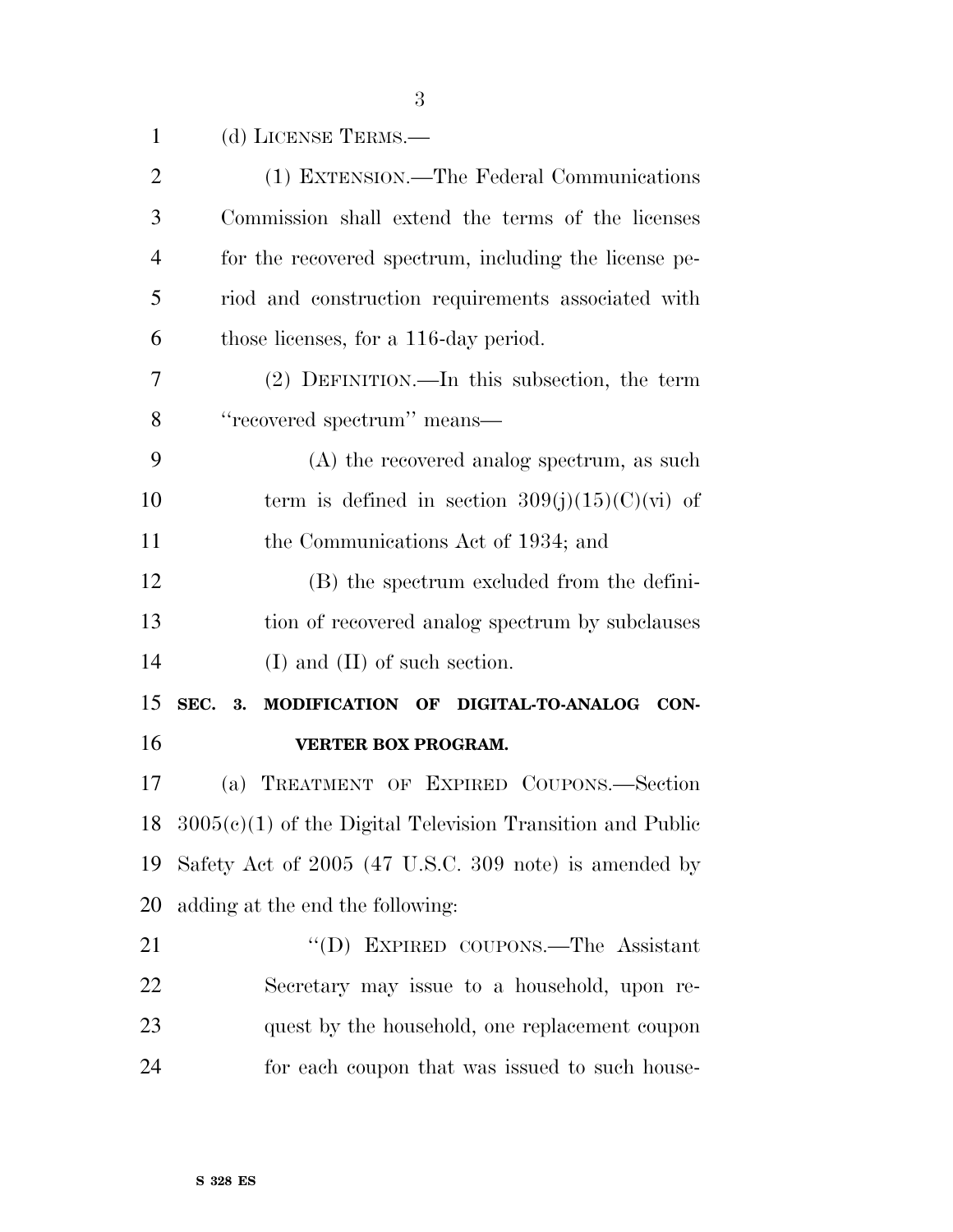| $\mathbf{1}$   | (d) LICENSE TERMS.—                                          |
|----------------|--------------------------------------------------------------|
| $\overline{2}$ | (1) EXTENSION.—The Federal Communications                    |
| 3              | Commission shall extend the terms of the licenses            |
| $\overline{4}$ | for the recovered spectrum, including the license pe-        |
| 5              | riod and construction requirements associated with           |
| 6              | those licenses, for a 116-day period.                        |
| 7              | (2) DEFINITION.—In this subsection, the term                 |
| 8              | "recovered spectrum" means-                                  |
| 9              | (A) the recovered analog spectrum, as such                   |
| 10             | term is defined in section $309(j)(15)(C)(vi)$ of            |
| 11             | the Communications Act of 1934; and                          |
| 12             | (B) the spectrum excluded from the defini-                   |
| 13             | tion of recovered analog spectrum by subclauses              |
| 14             | $(I)$ and $(II)$ of such section.                            |
| 15             | SEC.<br>MODIFICATION OF DIGITAL-TO-ANALOG CON-<br>3.         |
| 16             | <b>VERTER BOX PROGRAM.</b>                                   |
| 17             | TREATMENT OF EXPIRED COUPONS.-Section<br>(a)                 |
| 18             | $3005(e)(1)$ of the Digital Television Transition and Public |
| 19             | Safety Act of 2005 (47 U.S.C. 309 note) is amended by        |
| 20             | adding at the end the following:                             |
| 21             | "(D) EXPIRED COUPONS.—The Assistant                          |
| <u>22</u>      | Secretary may issue to a household, upon re-                 |
| 23             | quest by the household, one replacement coupon               |
| 24             | for each coupon that was issued to such house-               |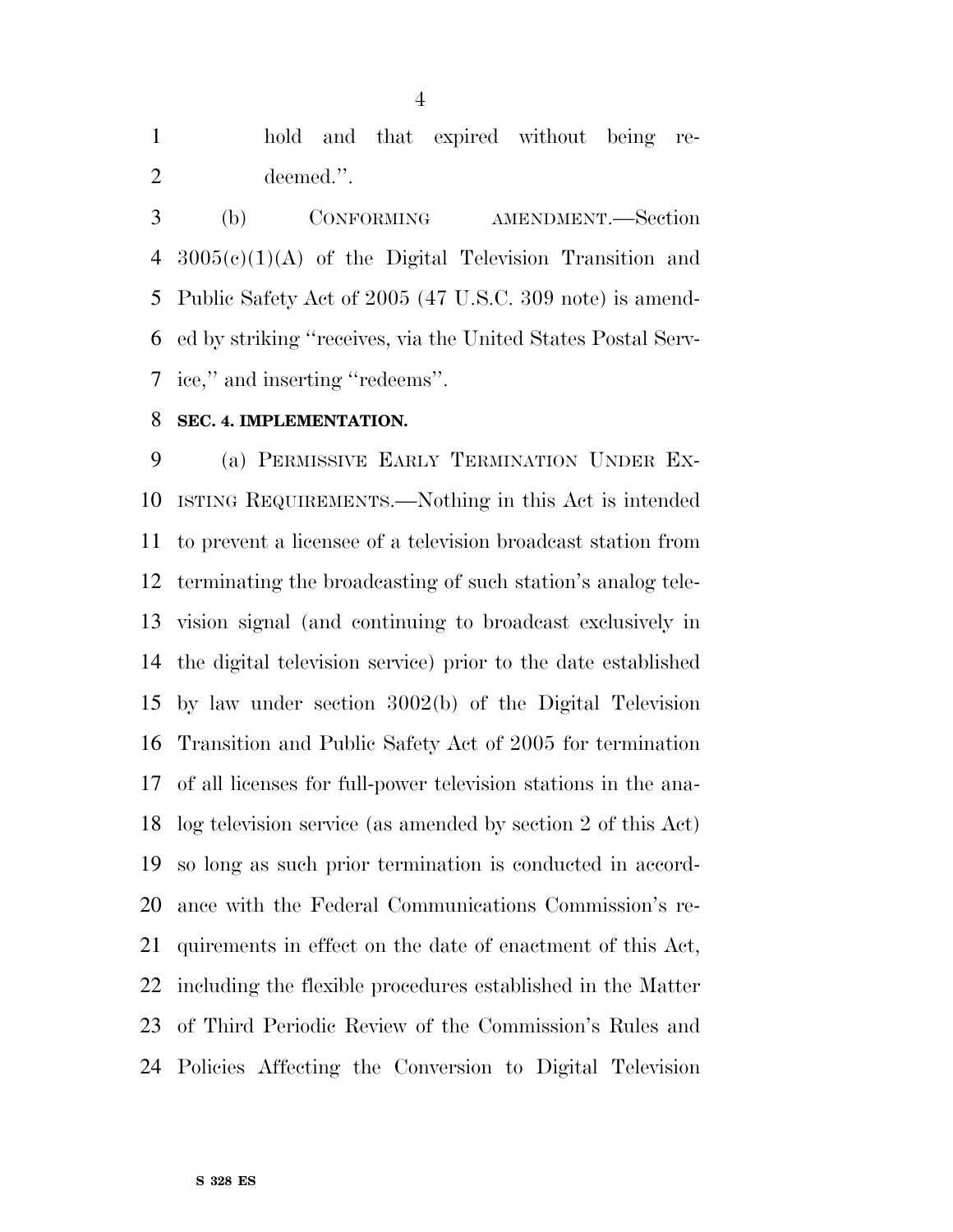hold and that expired without being re-deemed.''.

 (b) CONFORMING AMENDMENT.—Section 3005(c)(1)(A) of the Digital Television Transition and Public Safety Act of 2005 (47 U.S.C. 309 note) is amend- ed by striking ''receives, via the United States Postal Serv-ice,'' and inserting ''redeems''.

#### **SEC. 4. IMPLEMENTATION.**

 (a) PERMISSIVE EARLY TERMINATION UNDER EX- ISTING REQUIREMENTS.—Nothing in this Act is intended to prevent a licensee of a television broadcast station from terminating the broadcasting of such station's analog tele- vision signal (and continuing to broadcast exclusively in the digital television service) prior to the date established by law under section 3002(b) of the Digital Television Transition and Public Safety Act of 2005 for termination of all licenses for full-power television stations in the ana- log television service (as amended by section 2 of this Act) so long as such prior termination is conducted in accord- ance with the Federal Communications Commission's re- quirements in effect on the date of enactment of this Act, including the flexible procedures established in the Matter of Third Periodic Review of the Commission's Rules and Policies Affecting the Conversion to Digital Television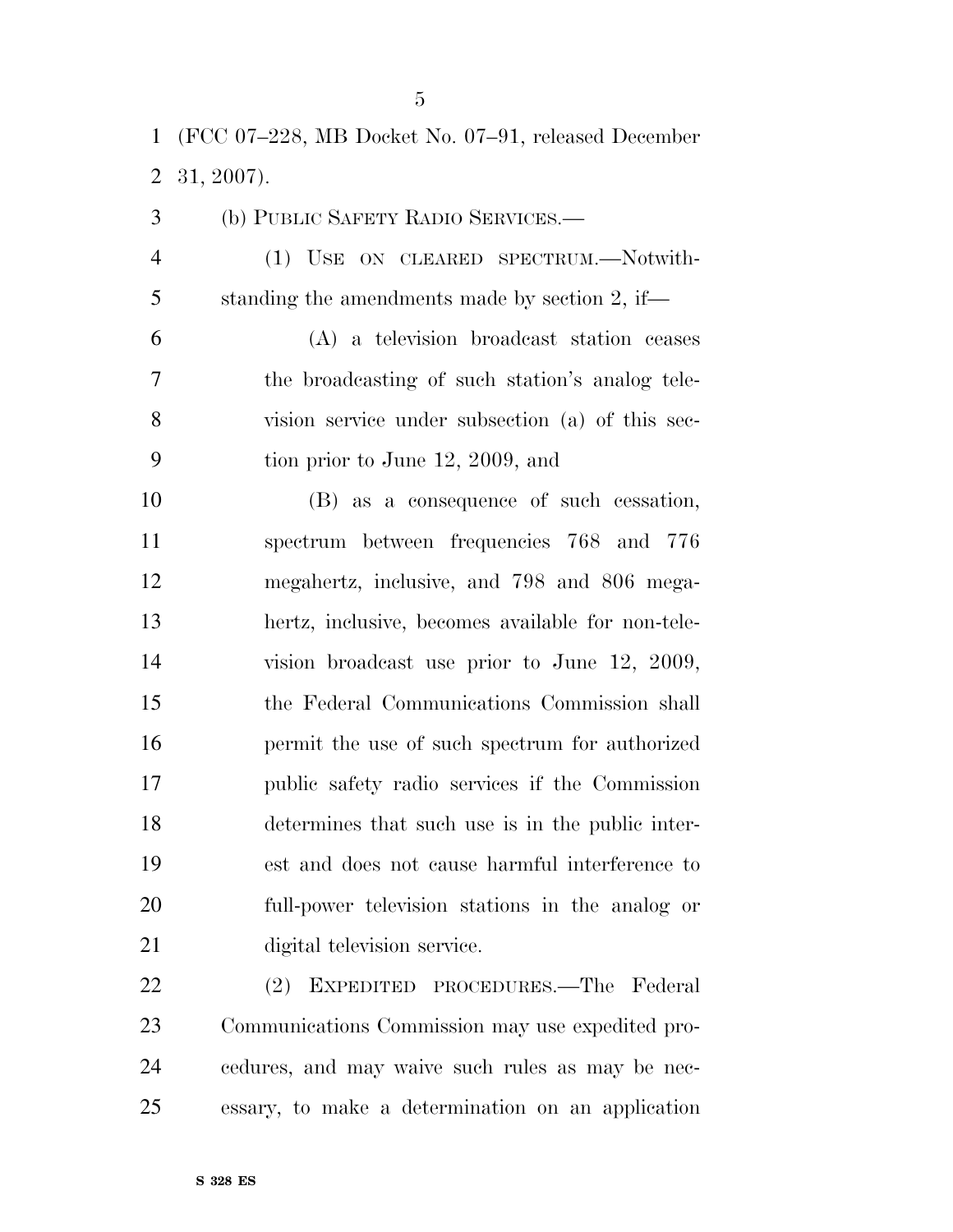(FCC 07–228, MB Docket No. 07–91, released December 31, 2007).

 (b) PUBLIC SAFETY RADIO SERVICES.— (1) USE ON CLEARED SPECTRUM.—Notwith- standing the amendments made by section 2, if— (A) a television broadcast station ceases the broadcasting of such station's analog tele- vision service under subsection (a) of this sec- tion prior to June 12, 2009, and (B) as a consequence of such cessation, spectrum between frequencies 768 and 776 megahertz, inclusive, and 798 and 806 mega- hertz, inclusive, becomes available for non-tele- vision broadcast use prior to June 12, 2009, the Federal Communications Commission shall permit the use of such spectrum for authorized public safety radio services if the Commission determines that such use is in the public inter- est and does not cause harmful interference to full-power television stations in the analog or digital television service.

 (2) EXPEDITED PROCEDURES.—The Federal Communications Commission may use expedited pro- cedures, and may waive such rules as may be nec-essary, to make a determination on an application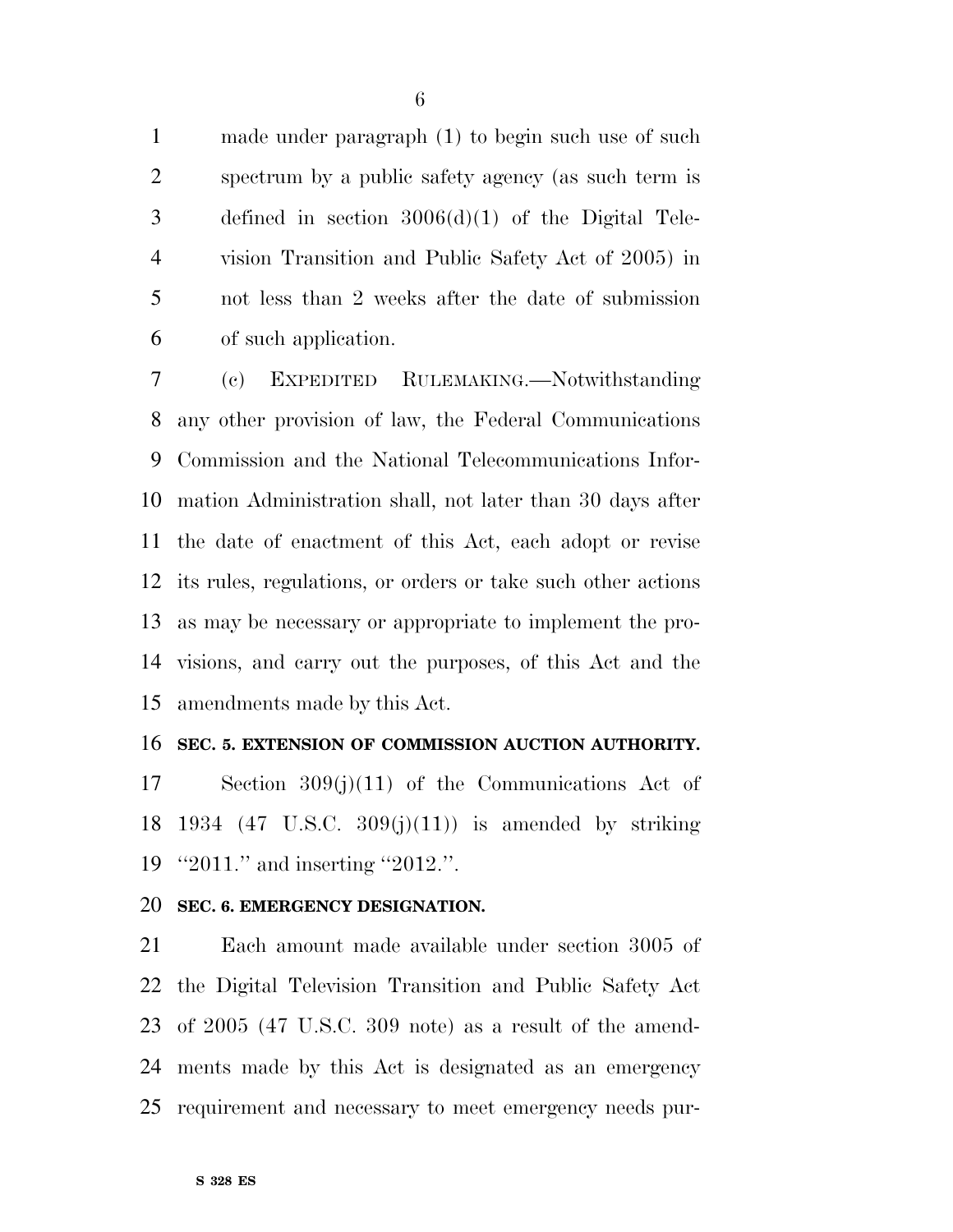made under paragraph (1) to begin such use of such spectrum by a public safety agency (as such term is defined in section 3006(d)(1) of the Digital Tele- vision Transition and Public Safety Act of 2005) in not less than 2 weeks after the date of submission of such application.

 (c) EXPEDITED RULEMAKING.—Notwithstanding any other provision of law, the Federal Communications Commission and the National Telecommunications Infor- mation Administration shall, not later than 30 days after the date of enactment of this Act, each adopt or revise its rules, regulations, or orders or take such other actions as may be necessary or appropriate to implement the pro- visions, and carry out the purposes, of this Act and the amendments made by this Act.

#### **SEC. 5. EXTENSION OF COMMISSION AUCTION AUTHORITY.**

 Section 309(j)(11) of the Communications Act of 18 1934 (47 U.S.C.  $309(j)(11)$ ) is amended by striking ''2011.'' and inserting ''2012.''.

#### **SEC. 6. EMERGENCY DESIGNATION.**

 Each amount made available under section 3005 of the Digital Television Transition and Public Safety Act of 2005 (47 U.S.C. 309 note) as a result of the amend- ments made by this Act is designated as an emergency requirement and necessary to meet emergency needs pur-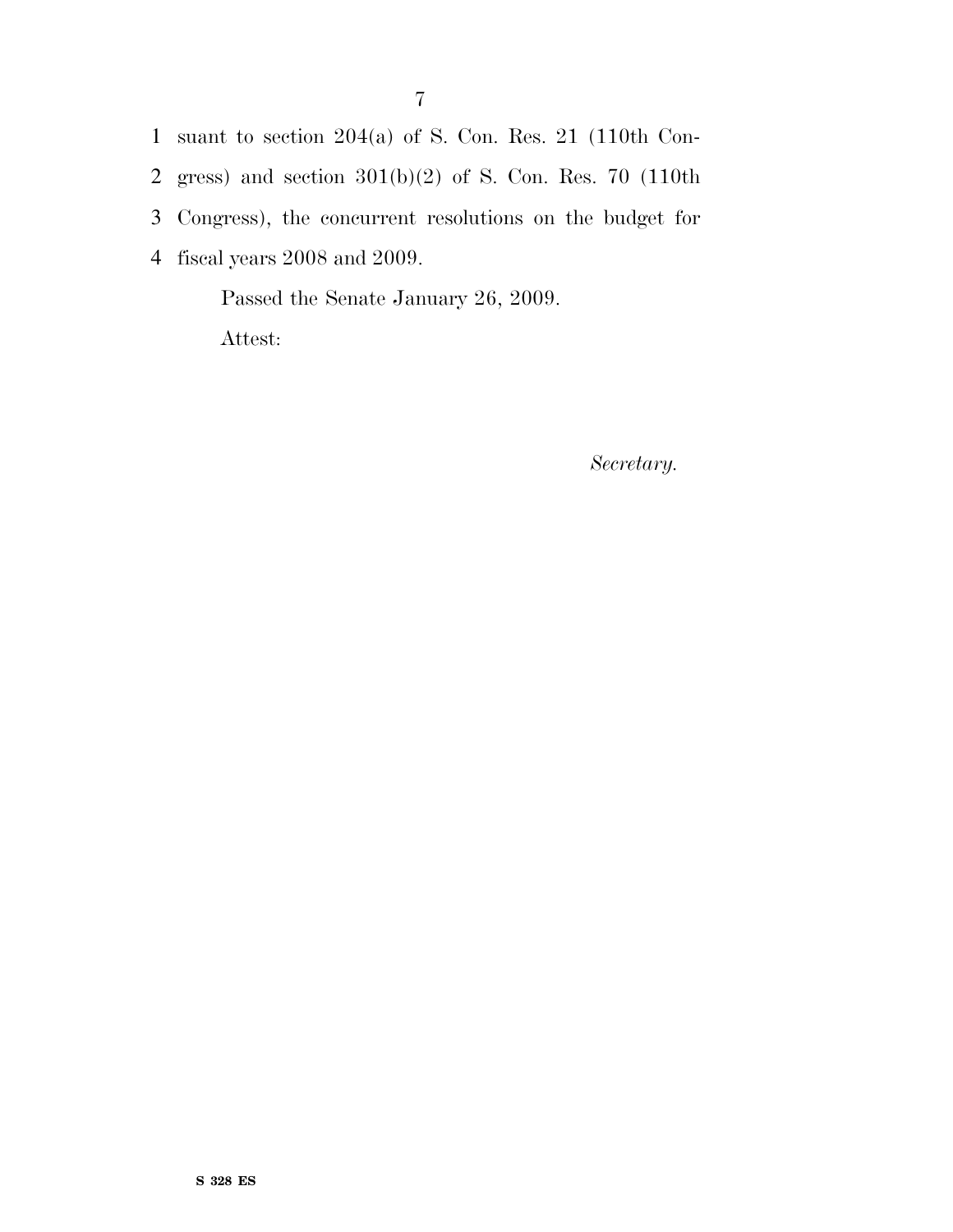suant to section 204(a) of S. Con. Res. 21 (110th Con- gress) and section 301(b)(2) of S. Con. Res. 70 (110th Congress), the concurrent resolutions on the budget for fiscal years 2008 and 2009.

Passed the Senate January 26, 2009. Attest:

*Secretary.*